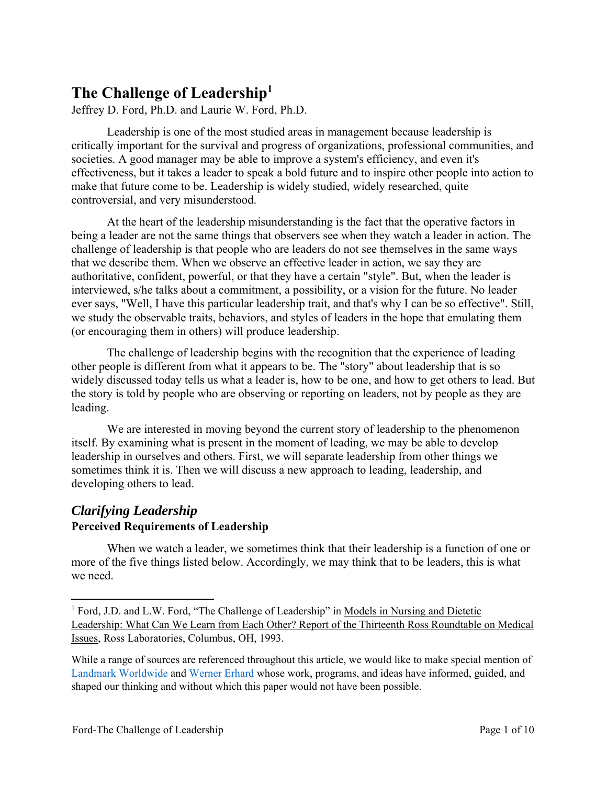# **The Challenge of Leadership1**

Jeffrey D. Ford, Ph.D. and Laurie W. Ford, Ph.D.

Leadership is one of the most studied areas in management because leadership is critically important for the survival and progress of organizations, professional communities, and societies. A good manager may be able to improve a system's efficiency, and even it's effectiveness, but it takes a leader to speak a bold future and to inspire other people into action to make that future come to be. Leadership is widely studied, widely researched, quite controversial, and very misunderstood.

At the heart of the leadership misunderstanding is the fact that the operative factors in being a leader are not the same things that observers see when they watch a leader in action. The challenge of leadership is that people who are leaders do not see themselves in the same ways that we describe them. When we observe an effective leader in action, we say they are authoritative, confident, powerful, or that they have a certain "style". But, when the leader is interviewed, s/he talks about a commitment, a possibility, or a vision for the future. No leader ever says, "Well, I have this particular leadership trait, and that's why I can be so effective". Still, we study the observable traits, behaviors, and styles of leaders in the hope that emulating them (or encouraging them in others) will produce leadership.

The challenge of leadership begins with the recognition that the experience of leading other people is different from what it appears to be. The "story" about leadership that is so widely discussed today tells us what a leader is, how to be one, and how to get others to lead. But the story is told by people who are observing or reporting on leaders, not by people as they are leading.

We are interested in moving beyond the current story of leadership to the phenomenon itself. By examining what is present in the moment of leading, we may be able to develop leadership in ourselves and others. First, we will separate leadership from other things we sometimes think it is. Then we will discuss a new approach to leading, leadership, and developing others to lead.

# *Clarifying Leadership*  **Perceived Requirements of Leadership**

When we watch a leader, we sometimes think that their leadership is a function of one or more of the five things listed below. Accordingly, we may think that to be leaders, this is what we need.

<sup>&</sup>lt;sup>1</sup> Ford, J.D. and L.W. Ford, "The Challenge of Leadership" in Models in Nursing and Dietetic Leadership: What Can We Learn from Each Other? Report of the Thirteenth Ross Roundtable on Medical Issues, Ross Laboratories, Columbus, OH, 1993.

While a range of sources are referenced throughout this article, we would like to make special mention of Landmark Worldwide and Werner Erhard whose work, programs, and ideas have informed, guided, and shaped our thinking and without which this paper would not have been possible.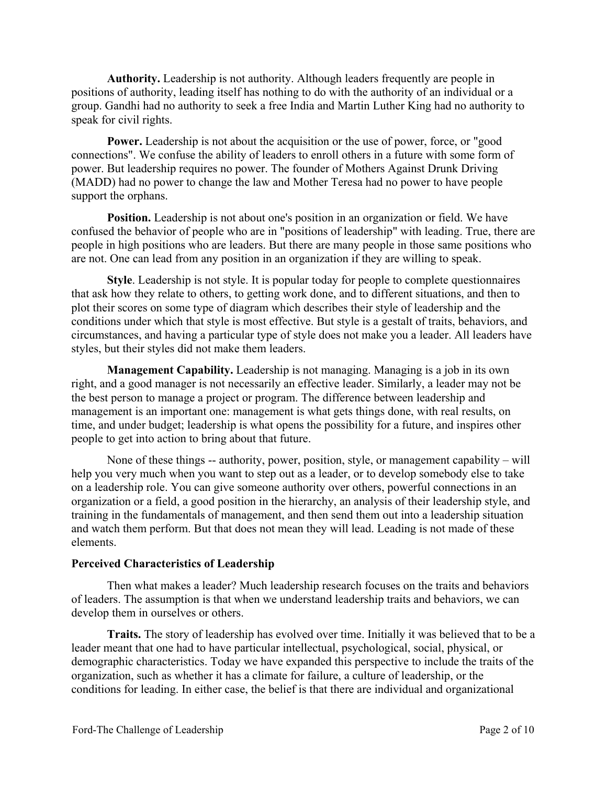**Authority.** Leadership is not authority. Although leaders frequently are people in positions of authority, leading itself has nothing to do with the authority of an individual or a group. Gandhi had no authority to seek a free India and Martin Luther King had no authority to speak for civil rights.

**Power.** Leadership is not about the acquisition or the use of power, force, or "good connections". We confuse the ability of leaders to enroll others in a future with some form of power. But leadership requires no power. The founder of Mothers Against Drunk Driving (MADD) had no power to change the law and Mother Teresa had no power to have people support the orphans.

**Position.** Leadership is not about one's position in an organization or field. We have confused the behavior of people who are in "positions of leadership" with leading. True, there are people in high positions who are leaders. But there are many people in those same positions who are not. One can lead from any position in an organization if they are willing to speak.

**Style**. Leadership is not style. It is popular today for people to complete questionnaires that ask how they relate to others, to getting work done, and to different situations, and then to plot their scores on some type of diagram which describes their style of leadership and the conditions under which that style is most effective. But style is a gestalt of traits, behaviors, and circumstances, and having a particular type of style does not make you a leader. All leaders have styles, but their styles did not make them leaders.

**Management Capability.** Leadership is not managing. Managing is a job in its own right, and a good manager is not necessarily an effective leader. Similarly, a leader may not be the best person to manage a project or program. The difference between leadership and management is an important one: management is what gets things done, with real results, on time, and under budget; leadership is what opens the possibility for a future, and inspires other people to get into action to bring about that future.

None of these things -- authority, power, position, style, or management capability – will help you very much when you want to step out as a leader, or to develop somebody else to take on a leadership role. You can give someone authority over others, powerful connections in an organization or a field, a good position in the hierarchy, an analysis of their leadership style, and training in the fundamentals of management, and then send them out into a leadership situation and watch them perform. But that does not mean they will lead. Leading is not made of these elements.

#### **Perceived Characteristics of Leadership**

Then what makes a leader? Much leadership research focuses on the traits and behaviors of leaders. The assumption is that when we understand leadership traits and behaviors, we can develop them in ourselves or others.

**Traits.** The story of leadership has evolved over time. Initially it was believed that to be a leader meant that one had to have particular intellectual, psychological, social, physical, or demographic characteristics. Today we have expanded this perspective to include the traits of the organization, such as whether it has a climate for failure, a culture of leadership, or the conditions for leading. In either case, the belief is that there are individual and organizational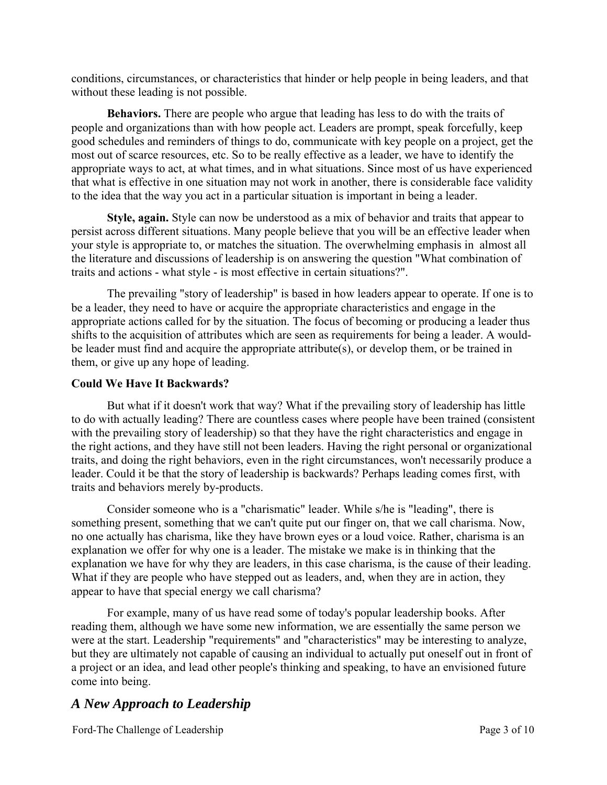conditions, circumstances, or characteristics that hinder or help people in being leaders, and that without these leading is not possible.

**Behaviors.** There are people who argue that leading has less to do with the traits of people and organizations than with how people act. Leaders are prompt, speak forcefully, keep good schedules and reminders of things to do, communicate with key people on a project, get the most out of scarce resources, etc. So to be really effective as a leader, we have to identify the appropriate ways to act, at what times, and in what situations. Since most of us have experienced that what is effective in one situation may not work in another, there is considerable face validity to the idea that the way you act in a particular situation is important in being a leader.

**Style, again.** Style can now be understood as a mix of behavior and traits that appear to persist across different situations. Many people believe that you will be an effective leader when your style is appropriate to, or matches the situation. The overwhelming emphasis in almost all the literature and discussions of leadership is on answering the question "What combination of traits and actions - what style - is most effective in certain situations?".

The prevailing "story of leadership" is based in how leaders appear to operate. If one is to be a leader, they need to have or acquire the appropriate characteristics and engage in the appropriate actions called for by the situation. The focus of becoming or producing a leader thus shifts to the acquisition of attributes which are seen as requirements for being a leader. A wouldbe leader must find and acquire the appropriate attribute(s), or develop them, or be trained in them, or give up any hope of leading.

### **Could We Have It Backwards?**

But what if it doesn't work that way? What if the prevailing story of leadership has little to do with actually leading? There are countless cases where people have been trained (consistent with the prevailing story of leadership) so that they have the right characteristics and engage in the right actions, and they have still not been leaders. Having the right personal or organizational traits, and doing the right behaviors, even in the right circumstances, won't necessarily produce a leader. Could it be that the story of leadership is backwards? Perhaps leading comes first, with traits and behaviors merely by-products.

Consider someone who is a "charismatic" leader. While s/he is "leading", there is something present, something that we can't quite put our finger on, that we call charisma. Now, no one actually has charisma, like they have brown eyes or a loud voice. Rather, charisma is an explanation we offer for why one is a leader. The mistake we make is in thinking that the explanation we have for why they are leaders, in this case charisma, is the cause of their leading. What if they are people who have stepped out as leaders, and, when they are in action, they appear to have that special energy we call charisma?

For example, many of us have read some of today's popular leadership books. After reading them, although we have some new information, we are essentially the same person we were at the start. Leadership "requirements" and "characteristics" may be interesting to analyze, but they are ultimately not capable of causing an individual to actually put oneself out in front of a project or an idea, and lead other people's thinking and speaking, to have an envisioned future come into being.

### *A New Approach to Leadership*

Ford-The Challenge of Leadership Page 3 of 10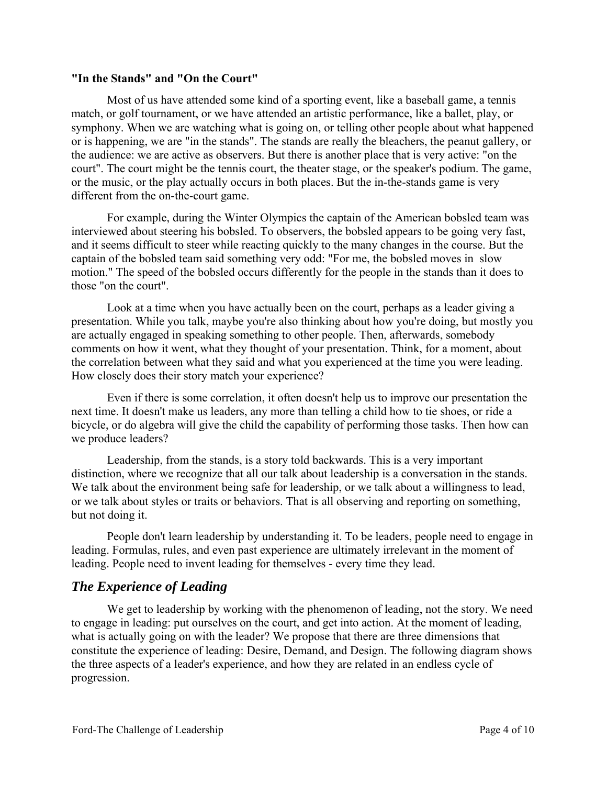#### **"In the Stands" and "On the Court"**

Most of us have attended some kind of a sporting event, like a baseball game, a tennis match, or golf tournament, or we have attended an artistic performance, like a ballet, play, or symphony. When we are watching what is going on, or telling other people about what happened or is happening, we are "in the stands". The stands are really the bleachers, the peanut gallery, or the audience: we are active as observers. But there is another place that is very active: "on the court". The court might be the tennis court, the theater stage, or the speaker's podium. The game, or the music, or the play actually occurs in both places. But the in-the-stands game is very different from the on-the-court game.

For example, during the Winter Olympics the captain of the American bobsled team was interviewed about steering his bobsled. To observers, the bobsled appears to be going very fast, and it seems difficult to steer while reacting quickly to the many changes in the course. But the captain of the bobsled team said something very odd: "For me, the bobsled moves in slow motion." The speed of the bobsled occurs differently for the people in the stands than it does to those "on the court".

Look at a time when you have actually been on the court, perhaps as a leader giving a presentation. While you talk, maybe you're also thinking about how you're doing, but mostly you are actually engaged in speaking something to other people. Then, afterwards, somebody comments on how it went, what they thought of your presentation. Think, for a moment, about the correlation between what they said and what you experienced at the time you were leading. How closely does their story match your experience?

Even if there is some correlation, it often doesn't help us to improve our presentation the next time. It doesn't make us leaders, any more than telling a child how to tie shoes, or ride a bicycle, or do algebra will give the child the capability of performing those tasks. Then how can we produce leaders?

Leadership, from the stands, is a story told backwards. This is a very important distinction, where we recognize that all our talk about leadership is a conversation in the stands. We talk about the environment being safe for leadership, or we talk about a willingness to lead, or we talk about styles or traits or behaviors. That is all observing and reporting on something, but not doing it.

People don't learn leadership by understanding it. To be leaders, people need to engage in leading. Formulas, rules, and even past experience are ultimately irrelevant in the moment of leading. People need to invent leading for themselves - every time they lead.

### *The Experience of Leading*

We get to leadership by working with the phenomenon of leading, not the story. We need to engage in leading: put ourselves on the court, and get into action. At the moment of leading, what is actually going on with the leader? We propose that there are three dimensions that constitute the experience of leading: Desire, Demand, and Design. The following diagram shows the three aspects of a leader's experience, and how they are related in an endless cycle of progression.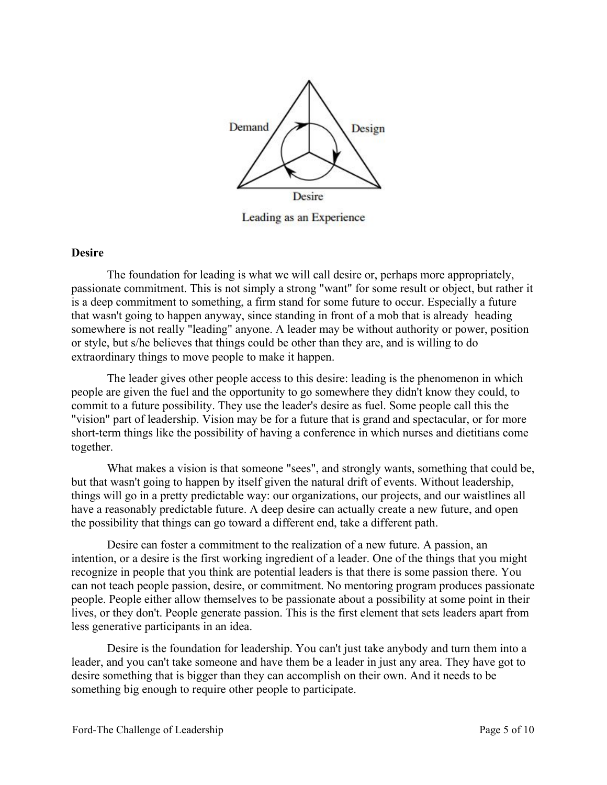

Leading as an Experience

#### **Desire**

The foundation for leading is what we will call desire or, perhaps more appropriately, passionate commitment. This is not simply a strong "want" for some result or object, but rather it is a deep commitment to something, a firm stand for some future to occur. Especially a future that wasn't going to happen anyway, since standing in front of a mob that is already heading somewhere is not really "leading" anyone. A leader may be without authority or power, position or style, but s/he believes that things could be other than they are, and is willing to do extraordinary things to move people to make it happen.

The leader gives other people access to this desire: leading is the phenomenon in which people are given the fuel and the opportunity to go somewhere they didn't know they could, to commit to a future possibility. They use the leader's desire as fuel. Some people call this the "vision" part of leadership. Vision may be for a future that is grand and spectacular, or for more short-term things like the possibility of having a conference in which nurses and dietitians come together.

What makes a vision is that someone "sees", and strongly wants, something that could be, but that wasn't going to happen by itself given the natural drift of events. Without leadership, things will go in a pretty predictable way: our organizations, our projects, and our waistlines all have a reasonably predictable future. A deep desire can actually create a new future, and open the possibility that things can go toward a different end, take a different path.

Desire can foster a commitment to the realization of a new future. A passion, an intention, or a desire is the first working ingredient of a leader. One of the things that you might recognize in people that you think are potential leaders is that there is some passion there. You can not teach people passion, desire, or commitment. No mentoring program produces passionate people. People either allow themselves to be passionate about a possibility at some point in their lives, or they don't. People generate passion. This is the first element that sets leaders apart from less generative participants in an idea.

Desire is the foundation for leadership. You can't just take anybody and turn them into a leader, and you can't take someone and have them be a leader in just any area. They have got to desire something that is bigger than they can accomplish on their own. And it needs to be something big enough to require other people to participate.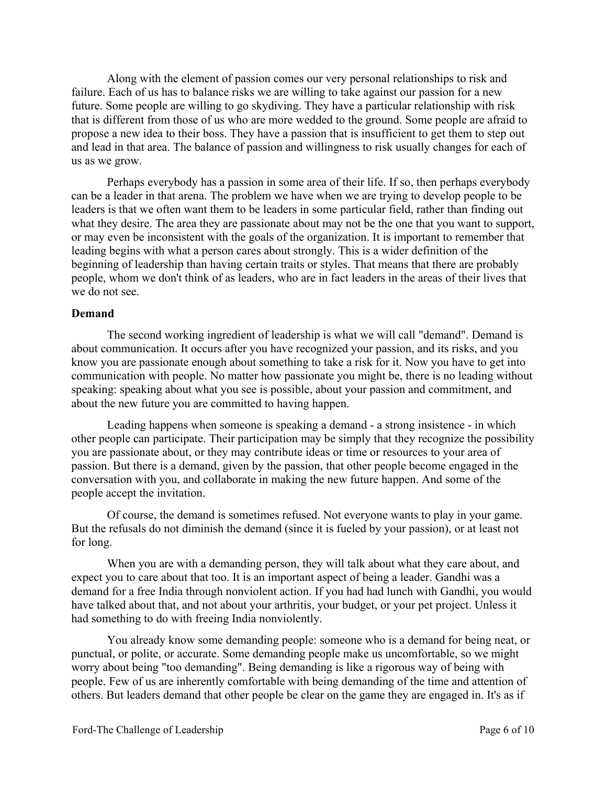Along with the element of passion comes our very personal relationships to risk and failure. Each of us has to balance risks we are willing to take against our passion for a new future. Some people are willing to go skydiving. They have a particular relationship with risk that is different from those of us who are more wedded to the ground. Some people are afraid to propose a new idea to their boss. They have a passion that is insufficient to get them to step out and lead in that area. The balance of passion and willingness to risk usually changes for each of us as we grow.

Perhaps everybody has a passion in some area of their life. If so, then perhaps everybody can be a leader in that arena. The problem we have when we are trying to develop people to be leaders is that we often want them to be leaders in some particular field, rather than finding out what they desire. The area they are passionate about may not be the one that you want to support, or may even be inconsistent with the goals of the organization. It is important to remember that leading begins with what a person cares about strongly. This is a wider definition of the beginning of leadership than having certain traits or styles. That means that there are probably people, whom we don't think of as leaders, who are in fact leaders in the areas of their lives that we do not see.

#### **Demand**

The second working ingredient of leadership is what we will call "demand". Demand is about communication. It occurs after you have recognized your passion, and its risks, and you know you are passionate enough about something to take a risk for it. Now you have to get into communication with people. No matter how passionate you might be, there is no leading without speaking: speaking about what you see is possible, about your passion and commitment, and about the new future you are committed to having happen.

Leading happens when someone is speaking a demand - a strong insistence - in which other people can participate. Their participation may be simply that they recognize the possibility you are passionate about, or they may contribute ideas or time or resources to your area of passion. But there is a demand, given by the passion, that other people become engaged in the conversation with you, and collaborate in making the new future happen. And some of the people accept the invitation.

Of course, the demand is sometimes refused. Not everyone wants to play in your game. But the refusals do not diminish the demand (since it is fueled by your passion), or at least not for long.

When you are with a demanding person, they will talk about what they care about, and expect you to care about that too. It is an important aspect of being a leader. Gandhi was a demand for a free India through nonviolent action. If you had had lunch with Gandhi, you would have talked about that, and not about your arthritis, your budget, or your pet project. Unless it had something to do with freeing India nonviolently.

You already know some demanding people: someone who is a demand for being neat, or punctual, or polite, or accurate. Some demanding people make us uncomfortable, so we might worry about being "too demanding". Being demanding is like a rigorous way of being with people. Few of us are inherently comfortable with being demanding of the time and attention of others. But leaders demand that other people be clear on the game they are engaged in. It's as if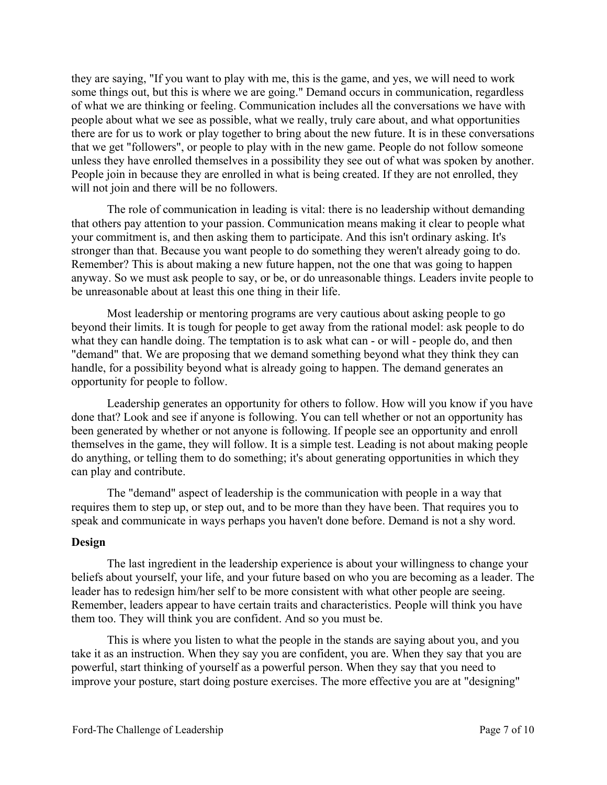they are saying, "If you want to play with me, this is the game, and yes, we will need to work some things out, but this is where we are going." Demand occurs in communication, regardless of what we are thinking or feeling. Communication includes all the conversations we have with people about what we see as possible, what we really, truly care about, and what opportunities there are for us to work or play together to bring about the new future. It is in these conversations that we get "followers", or people to play with in the new game. People do not follow someone unless they have enrolled themselves in a possibility they see out of what was spoken by another. People join in because they are enrolled in what is being created. If they are not enrolled, they will not join and there will be no followers.

The role of communication in leading is vital: there is no leadership without demanding that others pay attention to your passion. Communication means making it clear to people what your commitment is, and then asking them to participate. And this isn't ordinary asking. It's stronger than that. Because you want people to do something they weren't already going to do. Remember? This is about making a new future happen, not the one that was going to happen anyway. So we must ask people to say, or be, or do unreasonable things. Leaders invite people to be unreasonable about at least this one thing in their life.

Most leadership or mentoring programs are very cautious about asking people to go beyond their limits. It is tough for people to get away from the rational model: ask people to do what they can handle doing. The temptation is to ask what can - or will - people do, and then "demand" that. We are proposing that we demand something beyond what they think they can handle, for a possibility beyond what is already going to happen. The demand generates an opportunity for people to follow.

Leadership generates an opportunity for others to follow. How will you know if you have done that? Look and see if anyone is following. You can tell whether or not an opportunity has been generated by whether or not anyone is following. If people see an opportunity and enroll themselves in the game, they will follow. It is a simple test. Leading is not about making people do anything, or telling them to do something; it's about generating opportunities in which they can play and contribute.

The "demand" aspect of leadership is the communication with people in a way that requires them to step up, or step out, and to be more than they have been. That requires you to speak and communicate in ways perhaps you haven't done before. Demand is not a shy word.

### **Design**

The last ingredient in the leadership experience is about your willingness to change your beliefs about yourself, your life, and your future based on who you are becoming as a leader. The leader has to redesign him/her self to be more consistent with what other people are seeing. Remember, leaders appear to have certain traits and characteristics. People will think you have them too. They will think you are confident. And so you must be.

This is where you listen to what the people in the stands are saying about you, and you take it as an instruction. When they say you are confident, you are. When they say that you are powerful, start thinking of yourself as a powerful person. When they say that you need to improve your posture, start doing posture exercises. The more effective you are at "designing"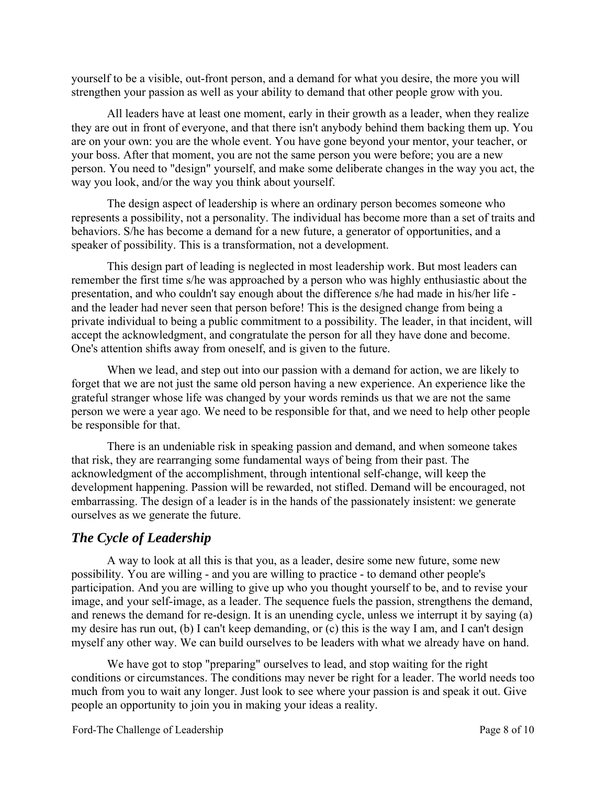yourself to be a visible, out-front person, and a demand for what you desire, the more you will strengthen your passion as well as your ability to demand that other people grow with you.

All leaders have at least one moment, early in their growth as a leader, when they realize they are out in front of everyone, and that there isn't anybody behind them backing them up. You are on your own: you are the whole event. You have gone beyond your mentor, your teacher, or your boss. After that moment, you are not the same person you were before; you are a new person. You need to "design" yourself, and make some deliberate changes in the way you act, the way you look, and/or the way you think about yourself.

The design aspect of leadership is where an ordinary person becomes someone who represents a possibility, not a personality. The individual has become more than a set of traits and behaviors. S/he has become a demand for a new future, a generator of opportunities, and a speaker of possibility. This is a transformation, not a development.

This design part of leading is neglected in most leadership work. But most leaders can remember the first time s/he was approached by a person who was highly enthusiastic about the presentation, and who couldn't say enough about the difference s/he had made in his/her life and the leader had never seen that person before! This is the designed change from being a private individual to being a public commitment to a possibility. The leader, in that incident, will accept the acknowledgment, and congratulate the person for all they have done and become. One's attention shifts away from oneself, and is given to the future.

When we lead, and step out into our passion with a demand for action, we are likely to forget that we are not just the same old person having a new experience. An experience like the grateful stranger whose life was changed by your words reminds us that we are not the same person we were a year ago. We need to be responsible for that, and we need to help other people be responsible for that.

There is an undeniable risk in speaking passion and demand, and when someone takes that risk, they are rearranging some fundamental ways of being from their past. The acknowledgment of the accomplishment, through intentional self-change, will keep the development happening. Passion will be rewarded, not stifled. Demand will be encouraged, not embarrassing. The design of a leader is in the hands of the passionately insistent: we generate ourselves as we generate the future.

# *The Cycle of Leadership*

A way to look at all this is that you, as a leader, desire some new future, some new possibility. You are willing - and you are willing to practice - to demand other people's participation. And you are willing to give up who you thought yourself to be, and to revise your image, and your self-image, as a leader. The sequence fuels the passion, strengthens the demand, and renews the demand for re-design. It is an unending cycle, unless we interrupt it by saying (a) my desire has run out, (b) I can't keep demanding, or (c) this is the way I am, and I can't design myself any other way. We can build ourselves to be leaders with what we already have on hand.

We have got to stop "preparing" ourselves to lead, and stop waiting for the right conditions or circumstances. The conditions may never be right for a leader. The world needs too much from you to wait any longer. Just look to see where your passion is and speak it out. Give people an opportunity to join you in making your ideas a reality.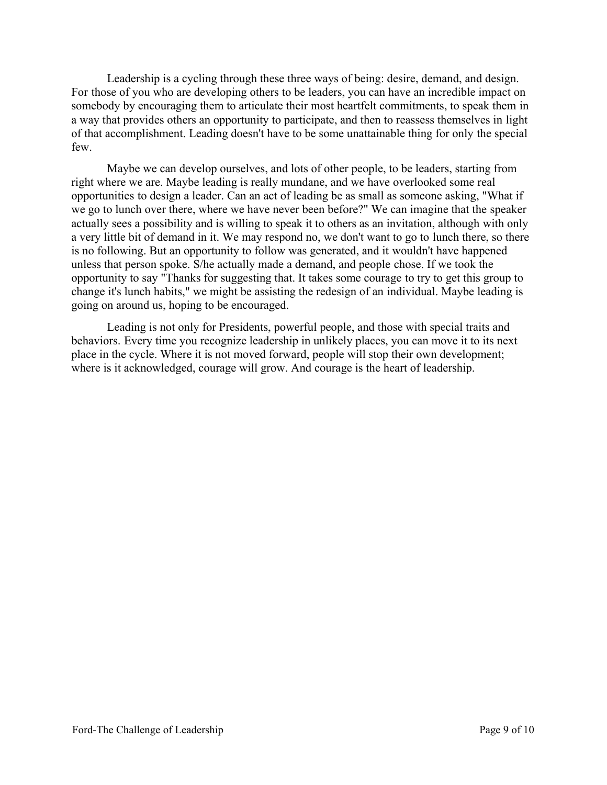Leadership is a cycling through these three ways of being: desire, demand, and design. For those of you who are developing others to be leaders, you can have an incredible impact on somebody by encouraging them to articulate their most heartfelt commitments, to speak them in a way that provides others an opportunity to participate, and then to reassess themselves in light of that accomplishment. Leading doesn't have to be some unattainable thing for only the special few.

Maybe we can develop ourselves, and lots of other people, to be leaders, starting from right where we are. Maybe leading is really mundane, and we have overlooked some real opportunities to design a leader. Can an act of leading be as small as someone asking, "What if we go to lunch over there, where we have never been before?" We can imagine that the speaker actually sees a possibility and is willing to speak it to others as an invitation, although with only a very little bit of demand in it. We may respond no, we don't want to go to lunch there, so there is no following. But an opportunity to follow was generated, and it wouldn't have happened unless that person spoke. S/he actually made a demand, and people chose. If we took the opportunity to say "Thanks for suggesting that. It takes some courage to try to get this group to change it's lunch habits," we might be assisting the redesign of an individual. Maybe leading is going on around us, hoping to be encouraged.

Leading is not only for Presidents, powerful people, and those with special traits and behaviors. Every time you recognize leadership in unlikely places, you can move it to its next place in the cycle. Where it is not moved forward, people will stop their own development; where is it acknowledged, courage will grow. And courage is the heart of leadership.